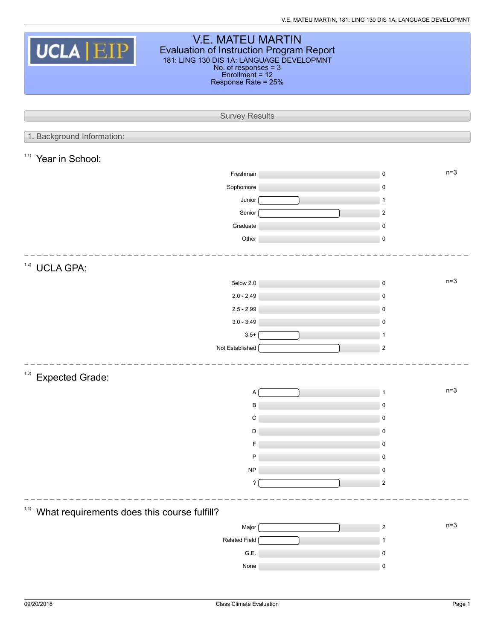V.E. MATEU MARTIN, 181: LING 130 DIS 1A: LANGUAGE DEVELOPMNT

| <b>V.E. MATEU MARTIN</b><br>UCLA EIP<br><b>Evaluation of Instruction Program Report</b> |                                  |  |  |  |  |  |  |
|-----------------------------------------------------------------------------------------|----------------------------------|--|--|--|--|--|--|
| 181: LING 130 DIS 1A: LANGUAGE DEVELOPMNT<br>No. of responses $=$ 3                     |                                  |  |  |  |  |  |  |
| Enrollment = 12<br>Response Rate = 25%                                                  |                                  |  |  |  |  |  |  |
|                                                                                         |                                  |  |  |  |  |  |  |
|                                                                                         | <b>Survey Results</b>            |  |  |  |  |  |  |
|                                                                                         |                                  |  |  |  |  |  |  |
| 1. Background Information:                                                              |                                  |  |  |  |  |  |  |
| 1.1)<br>Year in School:                                                                 |                                  |  |  |  |  |  |  |
| Freshman                                                                                | $n=3$<br>$\pmb{0}$               |  |  |  |  |  |  |
| Sophomore                                                                               | $\mathsf 0$                      |  |  |  |  |  |  |
|                                                                                         | Junior<br>$\mathbf{1}$           |  |  |  |  |  |  |
|                                                                                         | Senior<br>$\overline{2}$         |  |  |  |  |  |  |
| Graduate                                                                                | $\mathsf 0$                      |  |  |  |  |  |  |
|                                                                                         | Other<br>$\mathsf 0$             |  |  |  |  |  |  |
| 1.2)<br><b>UCLA GPA:</b>                                                                |                                  |  |  |  |  |  |  |
| Below 2.0                                                                               | $n=3$<br>$\mathsf 0$             |  |  |  |  |  |  |
| $2.0 - 2.49$                                                                            | $\mathsf 0$                      |  |  |  |  |  |  |
| $2.5 - 2.99$                                                                            | 0                                |  |  |  |  |  |  |
| $3.0 - 3.49$                                                                            | $\mathsf 0$                      |  |  |  |  |  |  |
|                                                                                         | $3.5+$<br>$\mathbf{1}$           |  |  |  |  |  |  |
| Not Established                                                                         | $\overline{2}$                   |  |  |  |  |  |  |
|                                                                                         |                                  |  |  |  |  |  |  |
| (1.3)<br><b>Expected Grade:</b>                                                         |                                  |  |  |  |  |  |  |
|                                                                                         | $n=3$<br>$\mathbf{1}$<br>A       |  |  |  |  |  |  |
|                                                                                         | 0<br>В                           |  |  |  |  |  |  |
|                                                                                         | С<br>0                           |  |  |  |  |  |  |
|                                                                                         | $\mathsf 0$<br>D                 |  |  |  |  |  |  |
|                                                                                         | 0                                |  |  |  |  |  |  |
|                                                                                         | 0<br>P                           |  |  |  |  |  |  |
|                                                                                         | ${\sf NP}$<br>$\mathsf 0$        |  |  |  |  |  |  |
|                                                                                         | ?<br>$\boldsymbol{2}$            |  |  |  |  |  |  |
| 1.4)<br>What requirements does this course fulfill?                                     |                                  |  |  |  |  |  |  |
|                                                                                         | $n=3$<br>Major<br>$\overline{2}$ |  |  |  |  |  |  |
| Related Field                                                                           |                                  |  |  |  |  |  |  |
|                                                                                         | G.E.<br>$\mathsf 0$              |  |  |  |  |  |  |
|                                                                                         | None<br>$\pmb{0}$                |  |  |  |  |  |  |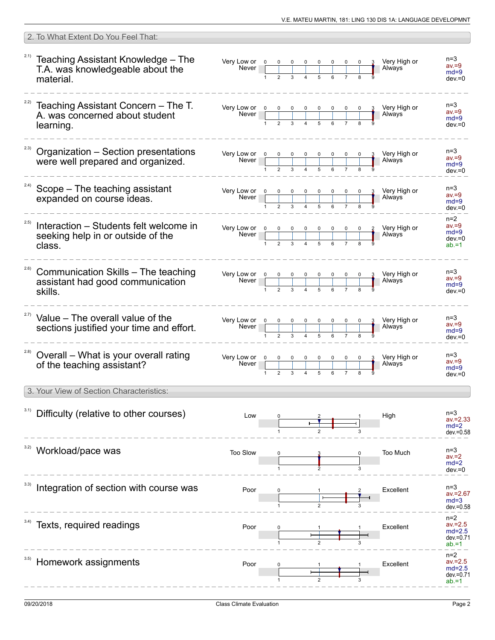| 2. To What Extent Do You Feel That:                                          |                      |                |                                                                                                                                      |                |                               |                |                |   |   |                        |                                                             |
|------------------------------------------------------------------------------|----------------------|----------------|--------------------------------------------------------------------------------------------------------------------------------------|----------------|-------------------------------|----------------|----------------|---|---|------------------------|-------------------------------------------------------------|
| Teaching Assistant Knowledge - The<br>T.A. was knowledgeable about the       |                      |                |                                                                                                                                      | $\overline{0}$ | $\mathbf 0$                   |                |                |   |   | Very High or<br>Always | $n=3$<br>$av = 9$<br>$md=9$<br>$dev = 0$                    |
| Teaching Assistant Concern - The T.<br>A. was concerned about student        | Very Low or<br>Never |                |                                                                                                                                      |                |                               |                |                |   |   | Very High or<br>Always | $n=3$<br>$av = 9$<br>$md=9$<br>$dev = 0$                    |
| Organization - Section presentations<br>were well prepared and organized.    | Never                |                |                                                                                                                                      |                | 5                             | 6              |                |   |   | Very High or<br>Always | $n=3$<br>$av = 9$<br>$md=9$<br>$dev = 0$                    |
| Scope - The teaching assistant<br>expanded on course ideas.                  | Never                |                |                                                                                                                                      |                |                               |                |                |   |   | Very High or<br>Always | $n = 3$<br>$av = 9$<br>$md=9$<br>$dev = 0$                  |
| Interaction - Students felt welcome in<br>seeking help in or outside of the  | Very Low or<br>Never |                | 3                                                                                                                                    |                | 5                             |                |                |   |   | Always                 | $n=2$<br>$av = 9$<br>$md=9$<br>$dev = 0$<br>$ab = 1$        |
| Communication Skills - The teaching<br>assistant had good communication      | Very Low or<br>Never |                |                                                                                                                                      |                |                               |                |                |   |   | Very High or<br>Always | $n=3$<br>$av = 9$<br>$md=9$<br>$dev = 0$                    |
| Value - The overall value of the<br>sections justified your time and effort. | Very Low or<br>Never | $\mathcal{P}$  | 3                                                                                                                                    |                |                               |                |                |   |   | Very High or<br>Always | $n=3$<br>$av = 9$<br>$md=9$<br>$dev = 0$                    |
| Overall - What is your overall rating<br>of the teaching assistant?          | Very Low or<br>Never | $\overline{2}$ | 3                                                                                                                                    |                | 5                             | 6              | $\overline{7}$ | 8 | 9 | Very High or<br>Always | $n=3$<br>$av = 9$<br>$md=9$<br>$dev = 0$                    |
| 3. Your View of Section Characteristics:                                     |                      |                |                                                                                                                                      |                |                               |                |                |   |   |                        |                                                             |
| Difficulty (relative to other courses)                                       | Low                  |                |                                                                                                                                      |                |                               |                |                |   |   | High                   | $n=3$<br>$av = 2.33$<br>$md=2$<br>$dev = 0.58$              |
| Workload/pace was                                                            | <b>Too Slow</b>      |                |                                                                                                                                      |                |                               |                |                |   |   | Too Much               | $n=3$<br>av.=2<br>$md=2$<br>$dev = 0$                       |
| Integration of section with course was                                       | Poor                 |                |                                                                                                                                      |                |                               |                |                |   |   | Excellent              | $n=3$<br>$av = 2.67$<br>$md=3$<br>$dev = 0.58$              |
| Texts, required readings                                                     | Poor                 |                |                                                                                                                                      |                |                               |                |                |   |   | Excellent              | $n=2$<br>av.=2.5<br>$md=2.5$<br>dev =0.71<br>ab.=1          |
| Homework assignments                                                         | Poor                 |                |                                                                                                                                      |                |                               |                |                |   |   | Excellent              | $n=2$<br>$av = 2.5$<br>$md=2.5$<br>$dev = 0.71$<br>$ab = 1$ |
|                                                                              |                      |                | Very Low or $\overline{0}$<br>Never<br>$\overline{0}$<br>Very Low or 0<br>1<br>Very Low or 0<br>$\mathbf 0$<br>0<br>$\mathbf 0$<br>1 |                | $0\qquad 0$<br>$\overline{0}$ | $\overline{0}$ |                |   |   |                        | Very High or                                                |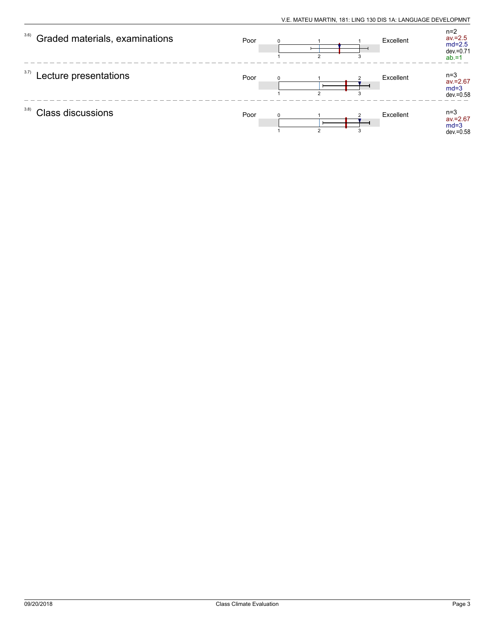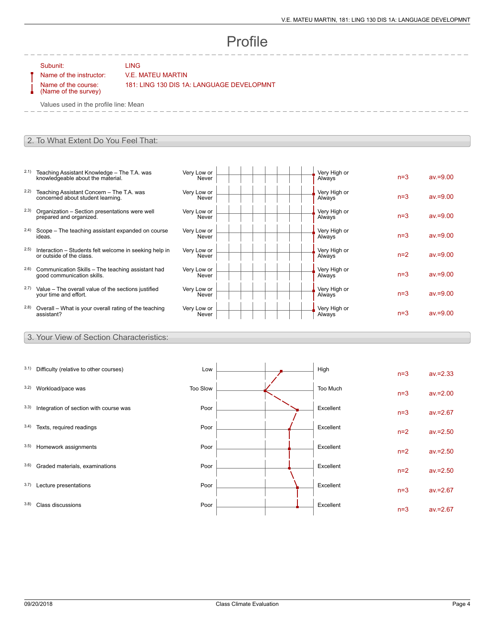## Profile

Subunit: LING

## Name of the instructor: V.E. MATEU MARTIN

Name of the course: (Name of the survey) 181: LING 130 DIS 1A: LANGUAGE DEVELOPMNT

Values used in the profile line: Mean

## 2. To What Extent Do You Feel That:

- 2.1) Teaching Assistant Knowledge The T.A. was knowledgeable about the material.
- 2.2) Teaching Assistant Concern The T.A. was concerned about student learning.
- 2.3) Organization Section presentations were well prepared and organized.
- 2.4) Scope The teaching assistant expanded on course ideas.
- 2.5) Interaction Students felt welcome in seeking help in or outside of the class.
- 2.6) Communication Skills The teaching assistant had good communication skills.
- 2.7) Value The overall value of the sections justified your time and effort.
- 2.8) Overall What is your overall rating of the teaching assistant?

3. Your View of Section Characteristics:

| Very Low or<br>Never | Very High or<br>Always <sup>®</sup> | $n=3$ | $av = 9.00$ |
|----------------------|-------------------------------------|-------|-------------|
| Very Low or<br>Never | Very High or<br>Always              | $n=3$ | $av = 9.00$ |
| Very Low or<br>Never | Very High or<br>Always              | $n=3$ | $av = 9.00$ |
| Very Low or<br>Never | Very High or<br>Always              | $n=3$ | $av = 9.00$ |
| Very Low or<br>Never | Very High or<br>Always              | $n=2$ | $av = 9.00$ |
| Very Low or<br>Never | Very High or<br>Always              | $n=3$ | $av = 9.00$ |
| Very Low or<br>Never | Very High or<br>Always              | $n=3$ | $av = 9.00$ |
| Very Low or<br>Never | Very High or<br>Always              | $n=3$ | $av = 9.00$ |
|                      |                                     |       |             |

| 3.1) Difficulty (relative to other courses) | Low      |  | High      | $n=3$ | $av = 2.33$ |
|---------------------------------------------|----------|--|-----------|-------|-------------|
| 3.2) Workload/pace was                      | Too Slow |  | Too Much  | $n=3$ | $av = 2.00$ |
| 3.3) Integration of section with course was | Poor     |  | Excellent | $n=3$ | $av = 2.67$ |
| 3.4) Texts, required readings               | Poor     |  | Excellent | $n=2$ | $av = 2.50$ |
| 3.5) Homework assignments                   | Poor     |  | Excellent | $n=2$ | $av = 2.50$ |
| 3.6) Graded materials, examinations         | Poor     |  | Excellent | $n=2$ | $av = 2.50$ |
| 3.7) Lecture presentations                  | Poor     |  | Excellent | $n=3$ | $av = 2.67$ |
| 3.8) Class discussions                      | Poor     |  | Excellent | $n=3$ | $av = 2.67$ |